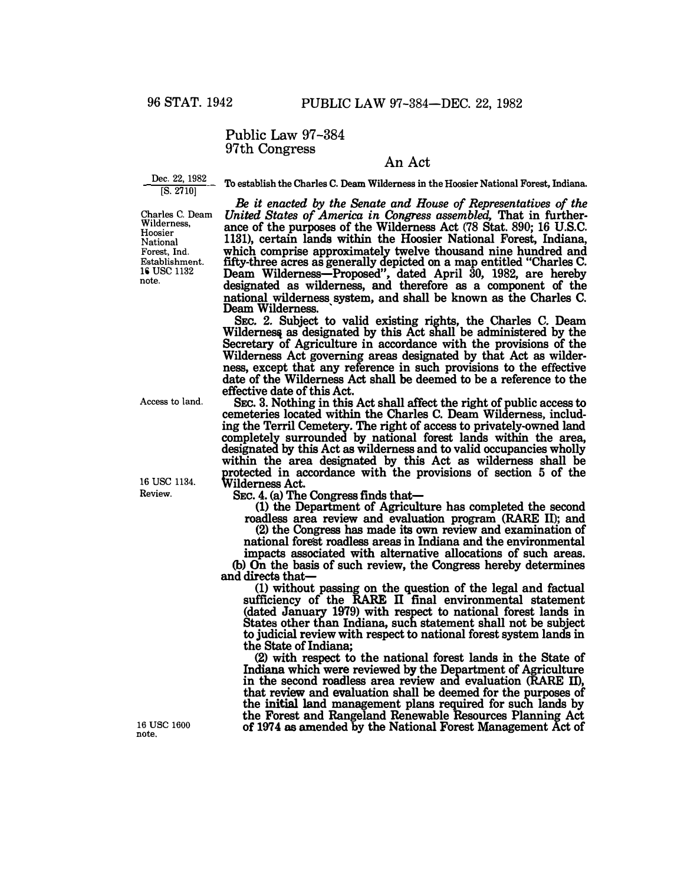Public Law 97-384 97th Congress

## **An Act**

Dec. 22, 1982 [S. 2710]

**To establish the Charles C. Deam Wilderness in the Hoosier National Forest, Indiana.** 

Charles **C.** Deam Wilderness, Hoosier National Forest, Ind. Establishment. 16 USC 1132 note.

*Be it enacted by the Senate and House of Representatives of the United States of America in Congress assembled,* **That in furtherance of the purposes of the Wilderness Act (78 Stat. 890; 16 U.S.C. 1131), certain lands within the Hoosier National Forest, Indiana, which comprise approximately twelve thousand nine hundred and fifty-three acres as generally depicted on a map entitled "Charles C. Deam Wilderness-Proposed", dated April** 30, 1982, **are hereby designated as wilderness, and therefore as a component of the national wilderness system, and shall be known as the Charles C. Deam Wilderness.** 

**SEC. 2. Subject** to **valid existing rights, the Charles C. Deam**  Wilderness as designated by this Act shall be administered by the **Secretary of Agriculture in accordance with the provisions of the Wilderness Act governing areas designated by that Act as wilderness, except that any reference in such provisions** to **the effective date of the Wilderness Act shall be deemed to be a reference to the effective date of this Act.** 

**SEC. 3. Nothing in this Act shall affect the right of public access** to **cemeteries located within the Charles C. Deam Wilderness, including the Terril Cemetery. The right of access to privately-owned land completely surrounded by national forest lands within the area, designated by this Act as wilderness and** to **valid occupancies wholly within the area designated by this Act as wilderness shall be protected in accordance with the provisions of section 5 of the Wilderness Act.** 

**SEc. 4. (a) The Congress finds that-**

**(1) the Department of Agriculture has completed the second** 

**roadless area review and evaluation program (RARE II); and (2) the Congress has made its own review and examination of national forest roadless areas in Indiana and the environmental** 

**impacts associated with alternative allocations of such areas. (b)** On **the basis of such review, the Congress hereby determines and directs that-**

**(1) without passing on the question of the legal and factual sufficiency of the RARE Il final environmental statement (dated January 1979) with respect to national forest lands in States other than Indiana, such statement shall not be subject**  to**judicial review with respect** to **national forest system lands in the State of Indiana;** 

**(2) with respect** to **the national forest lands in the State of**  Indiana which were reviewed by the Department of Agriculture in the second roadless area review and evaluation (RARE II), that review and evaluation shall be deemed for the purposes of the initial land management plans required for such lands by the Forest and Rangeland Renewable Resources Planning Act **of 197 4 as amended by the National Forest Management Act of** 

Access to land.

16 USC 1134. **Review.** 

16 USC 1600 **note.**